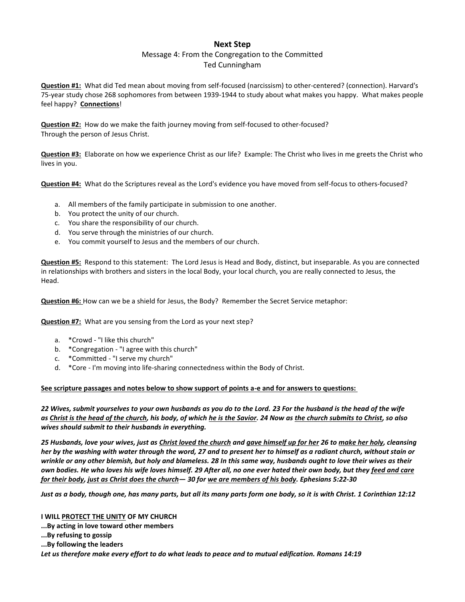## **Next Step**

## Message 4: From the Congregation to the Committed Ted Cunningham

**Question #1:** What did Ted mean about moving from self-focused (narcissism) to other-centered? (connection). Harvard's 75-year study chose 268 sophomores from between 1939-1944 to study about what makes you happy. What makes people feel happy? **Connections**!

**Question #2:** How do we make the faith journey moving from self-focused to other-focused? Through the person of Jesus Christ.

**Question #3:** Elaborate on how we experience Christ as our life? Example: The Christ who lives in me greets the Christ who lives in you.

**Question #4:** What do the Scriptures reveal as the Lord's evidence you have moved from self-focus to others-focused?

- a. All members of the family participate in submission to one another.
- b. You protect the unity of our church.
- c. You share the responsibility of our church.
- d. You serve through the ministries of our church.
- e. You commit yourself to Jesus and the members of our church.

**Question #5:** Respond to this statement: The Lord Jesus is Head and Body, distinct, but inseparable. As you are connected in relationships with brothers and sisters in the local Body, your local church, you are really connected to Jesus, the Head.

**Question #6:** How can we be a shield for Jesus, the Body? Remember the Secret Service metaphor:

**Question #7:** What are you sensing from the Lord as your next step?

- a. \*Crowd "I like this church"
- b. \*Congregation "I agree with this church"
- c. \*Committed "I serve my church"
- d. \*Core I'm moving into life-sharing connectedness within the Body of Christ.

## **See scripture passages and notes below to show support of points a-e and for answers to questions:**

*22 Wives, submit yourselves to your own husbands as you do to the Lord. 23 For the husband is the head of the wife as Christ is the head of the church, his body, of which he is the Savior. 24 Now as the church submits to Christ, so also wives should submit to their husbands in everything.*

*25 Husbands, love your wives, just as Christ loved the church and gave himself up for her 26 to make her holy, cleansing her by the washing with water through the word, 27 and to present her to himself as a radiant church, without stain or wrinkle or any other blemish, but holy and blameless. 28 In this same way, husbands ought to love their wives as their own bodies. He who loves his wife loves himself. 29 After all, no one ever hated their own body, but they feed and care for their body, just as Christ does the church— 30 for we are members of his body. Ephesians 5:22-30*

*Just as a body, though one, has many parts, but all its many parts form one body, so it is with Christ. 1 Corinthian 12:12*

**I WILL PROTECT THE UNITY OF MY CHURCH ...By acting in love toward other members ...By refusing to gossip ...By following the leaders** *Let us therefore make every effort to do what leads to peace and to mutual edification. Romans 14:19*